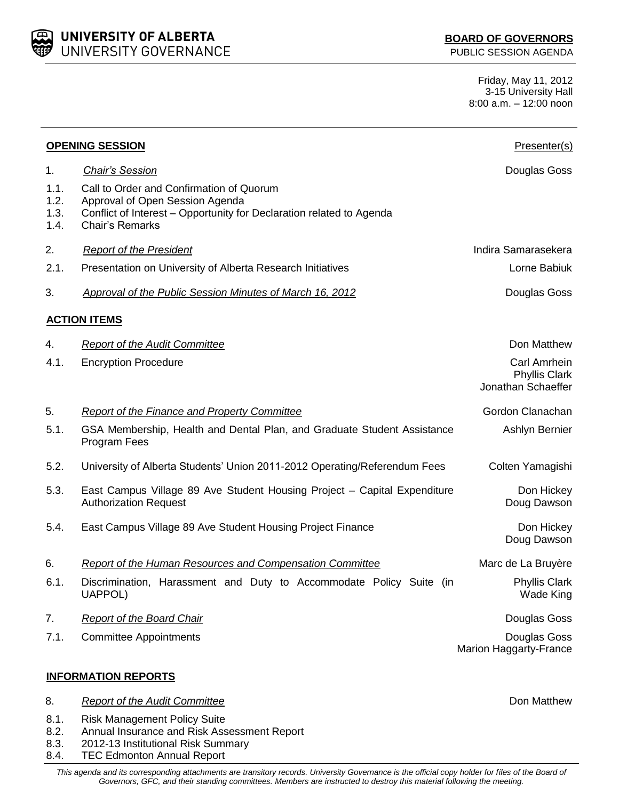UNIVERSITY OF ALBERTA UNIVERSITY GOVERNANCE

PUBLIC SESSION AGENDA

Friday, May 11, 2012 3-15 University Hall 8:00 a.m. – 12:00 noon

| <b>OPENING SESSION</b>       |                                                                                                                                                                               | Presenter(s)                                               |
|------------------------------|-------------------------------------------------------------------------------------------------------------------------------------------------------------------------------|------------------------------------------------------------|
| 1.                           | <b>Chair's Session</b>                                                                                                                                                        | Douglas Goss                                               |
| 1.1.<br>1.2.<br>1.3.<br>1.4. | Call to Order and Confirmation of Quorum<br>Approval of Open Session Agenda<br>Conflict of Interest - Opportunity for Declaration related to Agenda<br><b>Chair's Remarks</b> |                                                            |
| 2.                           | <b>Report of the President</b>                                                                                                                                                | Indira Samarasekera                                        |
| 2.1.                         | Presentation on University of Alberta Research Initiatives                                                                                                                    | Lorne Babiuk                                               |
| 3.                           | Approval of the Public Session Minutes of March 16, 2012                                                                                                                      | Douglas Goss                                               |
|                              | <b>ACTION ITEMS</b>                                                                                                                                                           |                                                            |
| 4.                           | <b>Report of the Audit Committee</b>                                                                                                                                          | Don Matthew                                                |
| 4.1.                         | <b>Encryption Procedure</b>                                                                                                                                                   | Carl Amrhein<br><b>Phyllis Clark</b><br>Jonathan Schaeffer |
| 5.                           | Report of the Finance and Property Committee                                                                                                                                  | Gordon Clanachan                                           |
| 5.1.                         | GSA Membership, Health and Dental Plan, and Graduate Student Assistance<br>Program Fees                                                                                       | Ashlyn Bernier                                             |
| 5.2.                         | University of Alberta Students' Union 2011-2012 Operating/Referendum Fees                                                                                                     | Colten Yamagishi                                           |
| 5.3.                         | East Campus Village 89 Ave Student Housing Project - Capital Expenditure<br><b>Authorization Request</b>                                                                      | Don Hickey<br>Doug Dawson                                  |
| 5.4.                         | East Campus Village 89 Ave Student Housing Project Finance                                                                                                                    | Don Hickey<br>Doug Dawson                                  |
| 6.                           | <b>Report of the Human Resources and Compensation Committee</b>                                                                                                               | Marc de La Bruyère                                         |
| 6.1.                         | Discrimination, Harassment and Duty to Accommodate Policy Suite (in<br><b>UAPPOL)</b>                                                                                         | <b>Phyllis Clark</b><br>Wade King                          |
| 7.                           | <b>Report of the Board Chair</b>                                                                                                                                              | Douglas Goss                                               |
| 7.1.                         | <b>Committee Appointments</b>                                                                                                                                                 | Douglas Goss<br>Marion Haggarty-France                     |
|                              | <b>INFORMATION REPORTS</b>                                                                                                                                                    |                                                            |
| 8.                           | <b>Report of the Audit Committee</b>                                                                                                                                          | Don Matthew                                                |
| 8.1.<br>8.2.<br>8.3.<br>8.4. | <b>Risk Management Policy Suite</b><br>Annual Insurance and Risk Assessment Report<br>2012-13 Institutional Risk Summary<br><b>TEC Edmonton Annual Report</b>                 |                                                            |

*This agenda and its corresponding attachments are transitory records. University Governance is the official copy holder for files of the Board of Governors, GFC, and their standing committees. Members are instructed to destroy this material following the meeting.*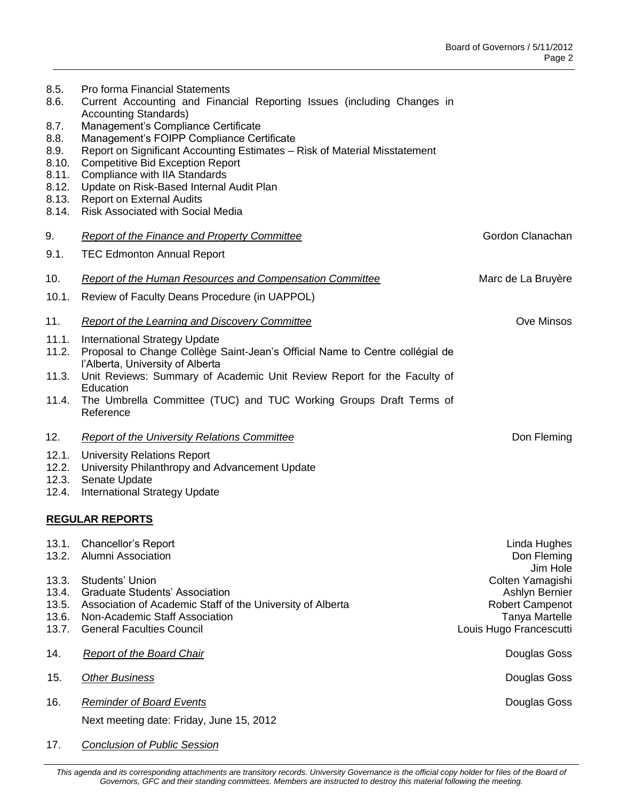| 8.5.<br>8.6.           | Pro forma Financial Statements<br>Current Accounting and Financial Reporting Issues (including Changes in<br><b>Accounting Standards)</b>                      |                                                  |  |  |
|------------------------|----------------------------------------------------------------------------------------------------------------------------------------------------------------|--------------------------------------------------|--|--|
| 8.7.                   | Management's Compliance Certificate                                                                                                                            |                                                  |  |  |
| 8.8.                   | Management's FOIPP Compliance Certificate                                                                                                                      |                                                  |  |  |
| 8.9.<br>8.10.          | Report on Significant Accounting Estimates - Risk of Material Misstatement<br><b>Competitive Bid Exception Report</b>                                          |                                                  |  |  |
| 8.11.                  | Compliance with IIA Standards                                                                                                                                  |                                                  |  |  |
| 8.12.                  | Update on Risk-Based Internal Audit Plan                                                                                                                       |                                                  |  |  |
| 8.13.<br>8.14.         | <b>Report on External Audits</b><br><b>Risk Associated with Social Media</b>                                                                                   |                                                  |  |  |
| 9.                     | <b>Report of the Finance and Property Committee</b>                                                                                                            | Gordon Clanachan                                 |  |  |
| 9.1.                   | <b>TEC Edmonton Annual Report</b>                                                                                                                              |                                                  |  |  |
|                        |                                                                                                                                                                |                                                  |  |  |
| 10.                    | Report of the Human Resources and Compensation Committee                                                                                                       | Marc de La Bruyère                               |  |  |
| 10.1.                  | Review of Faculty Deans Procedure (in UAPPOL)                                                                                                                  |                                                  |  |  |
| 11.                    | Report of the Learning and Discovery Committee                                                                                                                 | Ove Minsos                                       |  |  |
| 11.1.                  | <b>International Strategy Update</b><br>11.2. Proposal to Change Collège Saint-Jean's Official Name to Centre collégial de<br>l'Alberta, University of Alberta |                                                  |  |  |
| 11.3.                  | Unit Reviews: Summary of Academic Unit Review Report for the Faculty of<br>Education                                                                           |                                                  |  |  |
| 11.4.                  | The Umbrella Committee (TUC) and TUC Working Groups Draft Terms of<br>Reference                                                                                |                                                  |  |  |
| 12.                    | <b>Report of the University Relations Committee</b>                                                                                                            | Don Fleming                                      |  |  |
| 12.1.                  | <b>University Relations Report</b>                                                                                                                             |                                                  |  |  |
| 12.2.<br>12.3.         | University Philanthropy and Advancement Update<br>Senate Update                                                                                                |                                                  |  |  |
| 12.4.                  | <b>International Strategy Update</b>                                                                                                                           |                                                  |  |  |
| <b>REGULAR REPORTS</b> |                                                                                                                                                                |                                                  |  |  |
| 13.1.                  | Chancellor's Report                                                                                                                                            | Linda Hughes                                     |  |  |
| 13.2.                  | Alumni Association                                                                                                                                             | Don Fleming                                      |  |  |
| 13.3.                  | Students' Union                                                                                                                                                | Jim Hole<br>Colten Yamagishi                     |  |  |
| 13.4.                  | <b>Graduate Students' Association</b>                                                                                                                          | Ashlyn Bernier                                   |  |  |
| 13.5.                  | Association of Academic Staff of the University of Alberta                                                                                                     | <b>Robert Campenot</b>                           |  |  |
| 13.6.<br>13.7.         | Non-Academic Staff Association<br><b>General Faculties Council</b>                                                                                             | <b>Tanya Martelle</b><br>Louis Hugo Francescutti |  |  |
|                        |                                                                                                                                                                |                                                  |  |  |
| 14.                    | <b>Report of the Board Chair</b>                                                                                                                               | Douglas Goss                                     |  |  |
| 15.                    | <b>Other Business</b>                                                                                                                                          | Douglas Goss                                     |  |  |
| 16.                    | <b>Reminder of Board Events</b>                                                                                                                                | Douglas Goss                                     |  |  |
|                        | Next meeting date: Friday, June 15, 2012                                                                                                                       |                                                  |  |  |

17. *Conclusion of Public Session*

This agenda and its corresponding attachments are transitory records. University Governance is the official copy holder for files of the Board of *Governors, GFC and their standing committees. Members are instructed to destroy this material following the meeting.*